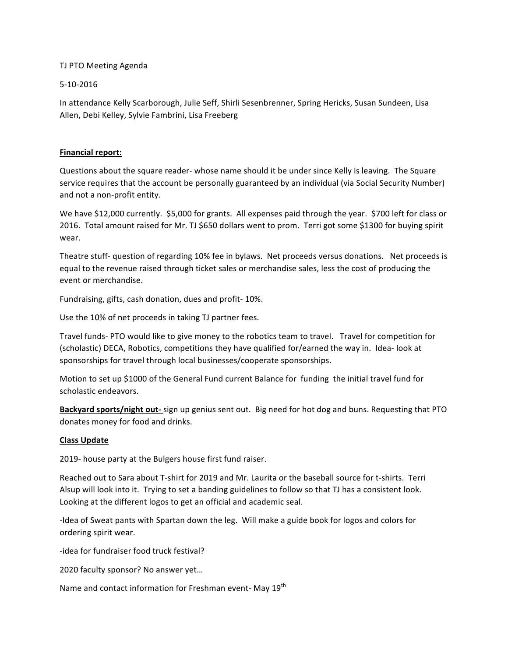## TJ PTO Meeting Agenda

## 5-10-2016

In attendance Kelly Scarborough, Julie Seff, Shirli Sesenbrenner, Spring Hericks, Susan Sundeen, Lisa Allen, Debi Kelley, Sylvie Fambrini, Lisa Freeberg

## **Financial report:**

Questions about the square reader- whose name should it be under since Kelly is leaving. The Square service requires that the account be personally guaranteed by an individual (via Social Security Number) and not a non-profit entity.

We have \$12,000 currently. \$5,000 for grants. All expenses paid through the year. \$700 left for class or 2016. Total amount raised for Mr. TJ \$650 dollars went to prom. Terri got some \$1300 for buying spirit wear. 

Theatre stuff- question of regarding 10% fee in bylaws. Net proceeds versus donations. Net proceeds is equal to the revenue raised through ticket sales or merchandise sales, less the cost of producing the event or merchandise.

Fundraising, gifts, cash donation, dues and profit- 10%.

Use the 10% of net proceeds in taking TJ partner fees.

Travel funds- PTO would like to give money to the robotics team to travel. Travel for competition for (scholastic) DECA, Robotics, competitions they have qualified for/earned the way in. Idea- look at sponsorships for travel through local businesses/cooperate sponsorships.

Motion to set up \$1000 of the General Fund current Balance for funding the initial travel fund for scholastic endeavors.

**Backyard sports/night out-** sign up genius sent out. Big need for hot dog and buns. Requesting that PTO donates money for food and drinks.

## **Class Update**

2019- house party at the Bulgers house first fund raiser.

Reached out to Sara about T-shirt for 2019 and Mr. Laurita or the baseball source for t-shirts. Terri Alsup will look into it. Trying to set a banding guidelines to follow so that TJ has a consistent look. Looking at the different logos to get an official and academic seal.

-Idea of Sweat pants with Spartan down the leg. Will make a guide book for logos and colors for ordering spirit wear.

-idea for fundraiser food truck festival?

2020 faculty sponsor? No answer yet...

Name and contact information for Freshman event- May 19<sup>th</sup>